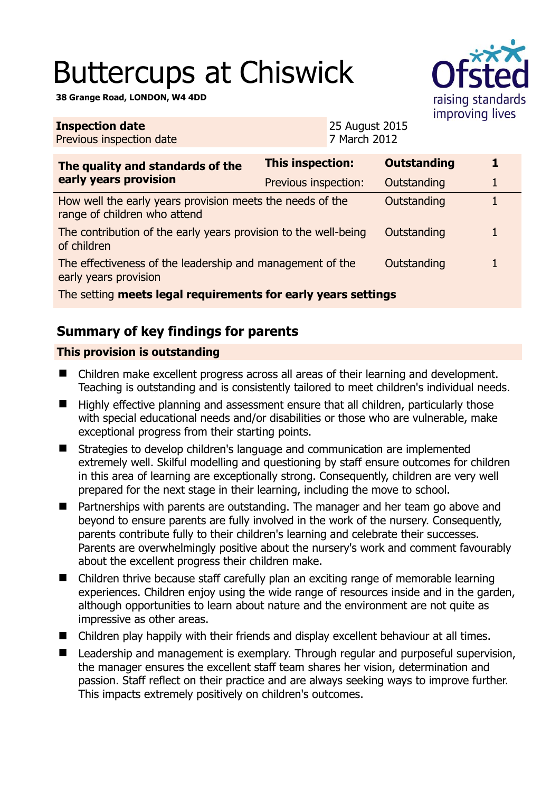# Buttercups at Chiswick

**38 Grange Road, LONDON, W4 4DD** 



| <b>Inspection date</b> |                          |  |   |  |  | 25 August 2015   |                       |
|------------------------|--------------------------|--|---|--|--|------------------|-----------------------|
|                        | Previous inspection date |  |   |  |  | 7 March 2012     |                       |
|                        |                          |  |   |  |  |                  |                       |
|                        |                          |  | . |  |  | Thic inconcrion: | $\bigcap$ , the taxed |

| The quality and standards of the                                                          | <b>This inspection:</b> | <b>Outstanding</b> |   |  |  |  |  |  |
|-------------------------------------------------------------------------------------------|-------------------------|--------------------|---|--|--|--|--|--|
| early years provision                                                                     | Previous inspection:    | Outstanding        | 1 |  |  |  |  |  |
| How well the early years provision meets the needs of the<br>range of children who attend |                         | Outstanding        |   |  |  |  |  |  |
| The contribution of the early years provision to the well-being<br>of children            |                         | Outstanding        |   |  |  |  |  |  |
| The effectiveness of the leadership and management of the<br>early years provision        |                         | Outstanding        |   |  |  |  |  |  |
| The setting meets legal requirements for early years settings                             |                         |                    |   |  |  |  |  |  |

# **Summary of key findings for parents**

### **This provision is outstanding**

- Children make excellent progress across all areas of their learning and development. Teaching is outstanding and is consistently tailored to meet children's individual needs.
- Highly effective planning and assessment ensure that all children, particularly those with special educational needs and/or disabilities or those who are vulnerable, make exceptional progress from their starting points.
- Strategies to develop children's language and communication are implemented extremely well. Skilful modelling and questioning by staff ensure outcomes for children in this area of learning are exceptionally strong. Consequently, children are very well prepared for the next stage in their learning, including the move to school.
- **Partnerships with parents are outstanding. The manager and her team go above and** beyond to ensure parents are fully involved in the work of the nursery. Consequently, parents contribute fully to their children's learning and celebrate their successes. Parents are overwhelmingly positive about the nursery's work and comment favourably about the excellent progress their children make.
- Children thrive because staff carefully plan an exciting range of memorable learning experiences. Children enjoy using the wide range of resources inside and in the garden, although opportunities to learn about nature and the environment are not quite as impressive as other areas.
- Children play happily with their friends and display excellent behaviour at all times.
- Leadership and management is exemplary. Through regular and purposeful supervision, the manager ensures the excellent staff team shares her vision, determination and passion. Staff reflect on their practice and are always seeking ways to improve further. This impacts extremely positively on children's outcomes.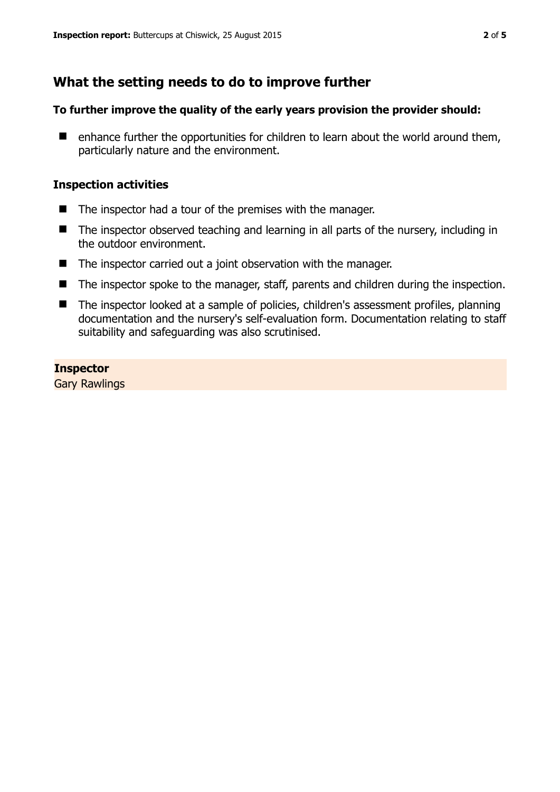# **What the setting needs to do to improve further**

#### **To further improve the quality of the early years provision the provider should:**

 $\blacksquare$  enhance further the opportunities for children to learn about the world around them, particularly nature and the environment.

#### **Inspection activities**

- $\blacksquare$  The inspector had a tour of the premises with the manager.
- The inspector observed teaching and learning in all parts of the nursery, including in the outdoor environment.
- The inspector carried out a joint observation with the manager.
- The inspector spoke to the manager, staff, parents and children during the inspection.
- The inspector looked at a sample of policies, children's assessment profiles, planning documentation and the nursery's self-evaluation form. Documentation relating to staff suitability and safeguarding was also scrutinised.

#### **Inspector**

Gary Rawlings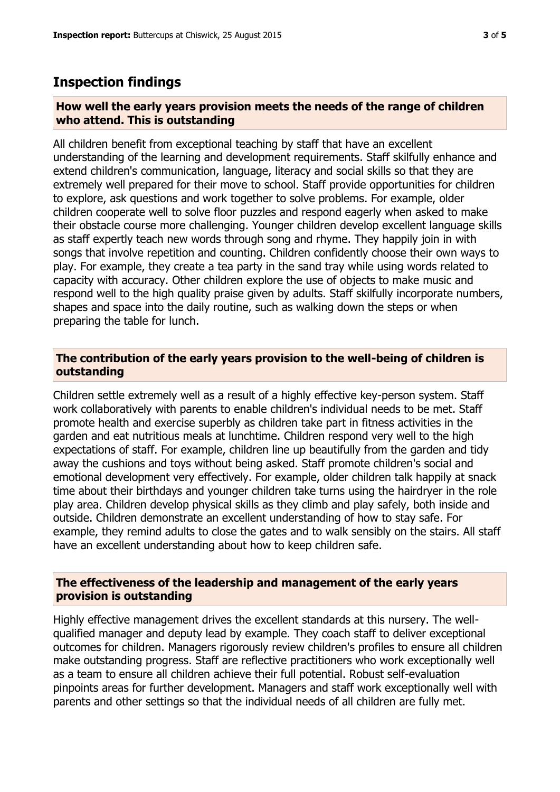## **Inspection findings**

#### **How well the early years provision meets the needs of the range of children who attend. This is outstanding**

All children benefit from exceptional teaching by staff that have an excellent understanding of the learning and development requirements. Staff skilfully enhance and extend children's communication, language, literacy and social skills so that they are extremely well prepared for their move to school. Staff provide opportunities for children to explore, ask questions and work together to solve problems. For example, older children cooperate well to solve floor puzzles and respond eagerly when asked to make their obstacle course more challenging. Younger children develop excellent language skills as staff expertly teach new words through song and rhyme. They happily join in with songs that involve repetition and counting. Children confidently choose their own ways to play. For example, they create a tea party in the sand tray while using words related to capacity with accuracy. Other children explore the use of objects to make music and respond well to the high quality praise given by adults. Staff skilfully incorporate numbers, shapes and space into the daily routine, such as walking down the steps or when preparing the table for lunch.

#### **The contribution of the early years provision to the well-being of children is outstanding**

Children settle extremely well as a result of a highly effective key-person system. Staff work collaboratively with parents to enable children's individual needs to be met. Staff promote health and exercise superbly as children take part in fitness activities in the garden and eat nutritious meals at lunchtime. Children respond very well to the high expectations of staff. For example, children line up beautifully from the garden and tidy away the cushions and toys without being asked. Staff promote children's social and emotional development very effectively. For example, older children talk happily at snack time about their birthdays and younger children take turns using the hairdryer in the role play area. Children develop physical skills as they climb and play safely, both inside and outside. Children demonstrate an excellent understanding of how to stay safe. For example, they remind adults to close the gates and to walk sensibly on the stairs. All staff have an excellent understanding about how to keep children safe.

#### **The effectiveness of the leadership and management of the early years provision is outstanding**

Highly effective management drives the excellent standards at this nursery. The wellqualified manager and deputy lead by example. They coach staff to deliver exceptional outcomes for children. Managers rigorously review children's profiles to ensure all children make outstanding progress. Staff are reflective practitioners who work exceptionally well as a team to ensure all children achieve their full potential. Robust self-evaluation pinpoints areas for further development. Managers and staff work exceptionally well with parents and other settings so that the individual needs of all children are fully met.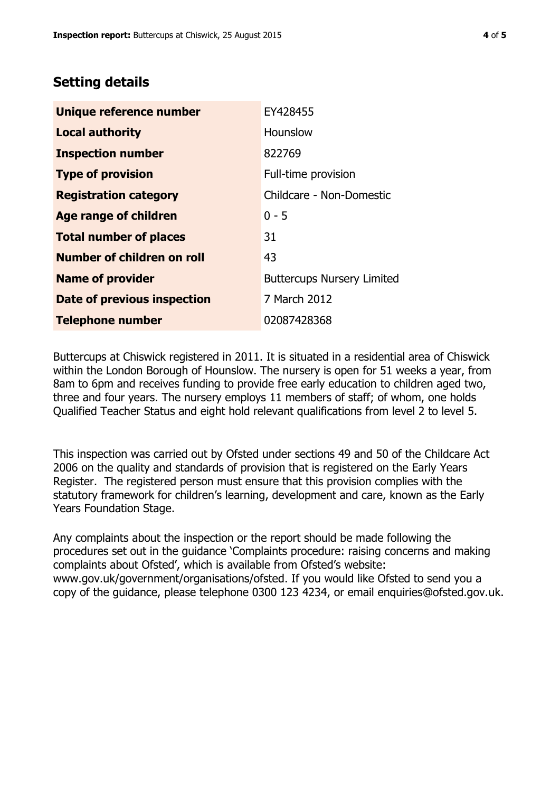# **Setting details**

| Unique reference number       | EY428455                          |
|-------------------------------|-----------------------------------|
| <b>Local authority</b>        | Hounslow                          |
| <b>Inspection number</b>      | 822769                            |
| <b>Type of provision</b>      | Full-time provision               |
| <b>Registration category</b>  | Childcare - Non-Domestic          |
| Age range of children         | $0 - 5$                           |
| <b>Total number of places</b> | 31                                |
| Number of children on roll    | 43                                |
| <b>Name of provider</b>       | <b>Buttercups Nursery Limited</b> |
| Date of previous inspection   | 7 March 2012                      |
| <b>Telephone number</b>       | 02087428368                       |

Buttercups at Chiswick registered in 2011. It is situated in a residential area of Chiswick within the London Borough of Hounslow. The nursery is open for 51 weeks a year, from 8am to 6pm and receives funding to provide free early education to children aged two, three and four years. The nursery employs 11 members of staff; of whom, one holds Qualified Teacher Status and eight hold relevant qualifications from level 2 to level 5.

This inspection was carried out by Ofsted under sections 49 and 50 of the Childcare Act 2006 on the quality and standards of provision that is registered on the Early Years Register. The registered person must ensure that this provision complies with the statutory framework for children's learning, development and care, known as the Early Years Foundation Stage.

Any complaints about the inspection or the report should be made following the procedures set out in the guidance 'Complaints procedure: raising concerns and making complaints about Ofsted', which is available from Ofsted's website: www.gov.uk/government/organisations/ofsted. If you would like Ofsted to send you a copy of the guidance, please telephone 0300 123 4234, or email enquiries@ofsted.gov.uk.